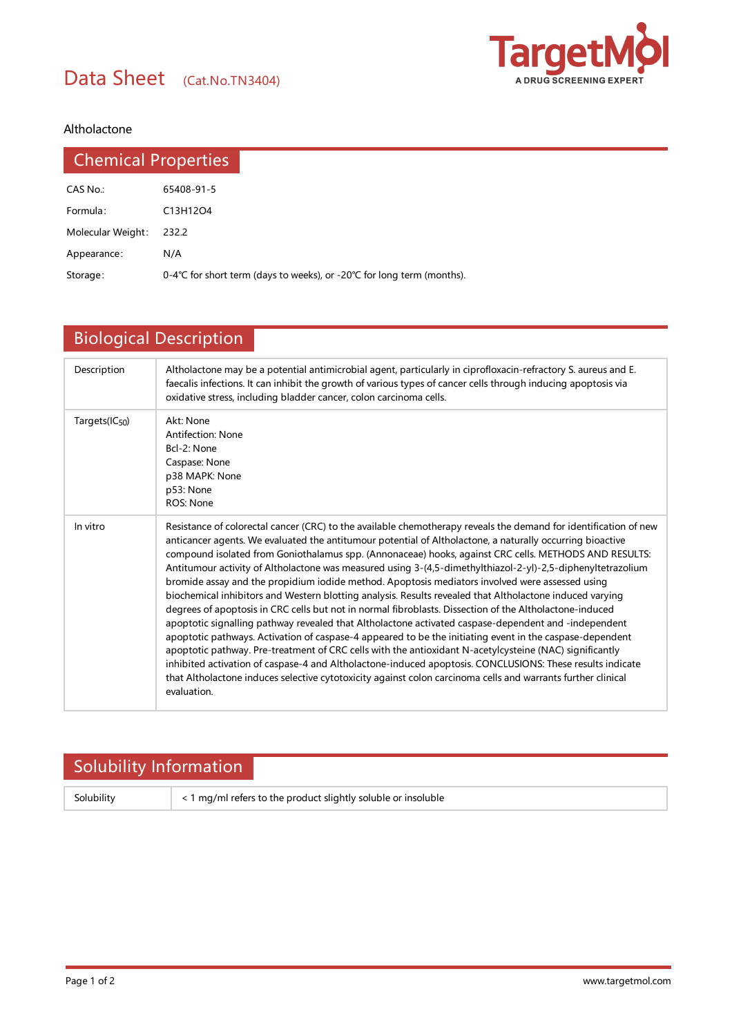

### Altholactone

| <b>Chemical Properties</b> |                                                                        |
|----------------------------|------------------------------------------------------------------------|
| CAS No.:                   | 65408-91-5                                                             |
| Formula:                   | C13H12O4                                                               |
| Molecular Weight:          | 232.2                                                                  |
| Appearance:                | N/A                                                                    |
| Storage:                   | 0-4°C for short term (days to weeks), or -20°C for long term (months). |

# Biological Description

| Description                | Altholactone may be a potential antimicrobial agent, particularly in ciprofloxacin-refractory S. aureus and E.<br>faecalis infections. It can inhibit the growth of various types of cancer cells through inducing apoptosis via<br>oxidative stress, including bladder cancer, colon carcinoma cells.                                                                                                                                                                                                                                                                                                                                                                                                                                                                                                                                                                                                                                                                                                                                                                                                                                                                                                                                                                                                                                                     |  |  |  |
|----------------------------|------------------------------------------------------------------------------------------------------------------------------------------------------------------------------------------------------------------------------------------------------------------------------------------------------------------------------------------------------------------------------------------------------------------------------------------------------------------------------------------------------------------------------------------------------------------------------------------------------------------------------------------------------------------------------------------------------------------------------------------------------------------------------------------------------------------------------------------------------------------------------------------------------------------------------------------------------------------------------------------------------------------------------------------------------------------------------------------------------------------------------------------------------------------------------------------------------------------------------------------------------------------------------------------------------------------------------------------------------------|--|--|--|
| Targets(IC <sub>50</sub> ) | Akt: None<br><b>Antifection: None</b><br>Bcl-2: None<br>Caspase: None<br>p38 MAPK: None<br>p53: None<br>ROS: None                                                                                                                                                                                                                                                                                                                                                                                                                                                                                                                                                                                                                                                                                                                                                                                                                                                                                                                                                                                                                                                                                                                                                                                                                                          |  |  |  |
| In vitro                   | Resistance of colorectal cancer (CRC) to the available chemotherapy reveals the demand for identification of new<br>anticancer agents. We evaluated the antitumour potential of Altholactone, a naturally occurring bioactive<br>compound isolated from Goniothalamus spp. (Annonaceae) hooks, against CRC cells. METHODS AND RESULTS:<br>Antitumour activity of Altholactone was measured using 3-(4,5-dimethylthiazol-2-yl)-2,5-diphenyltetrazolium<br>bromide assay and the propidium iodide method. Apoptosis mediators involved were assessed using<br>biochemical inhibitors and Western blotting analysis. Results revealed that Altholactone induced varying<br>degrees of apoptosis in CRC cells but not in normal fibroblasts. Dissection of the Altholactone-induced<br>apoptotic signalling pathway revealed that Altholactone activated caspase-dependent and -independent<br>apoptotic pathways. Activation of caspase-4 appeared to be the initiating event in the caspase-dependent<br>apoptotic pathway. Pre-treatment of CRC cells with the antioxidant N-acetylcysteine (NAC) significantly<br>inhibited activation of caspase-4 and Altholactone-induced apoptosis. CONCLUSIONS: These results indicate<br>that Altholactone induces selective cytotoxicity against colon carcinoma cells and warrants further clinical<br>evaluation. |  |  |  |

## Solubility Information

Solubility  $\vert$  < 1 mg/ml refers to the product slightly soluble or insoluble